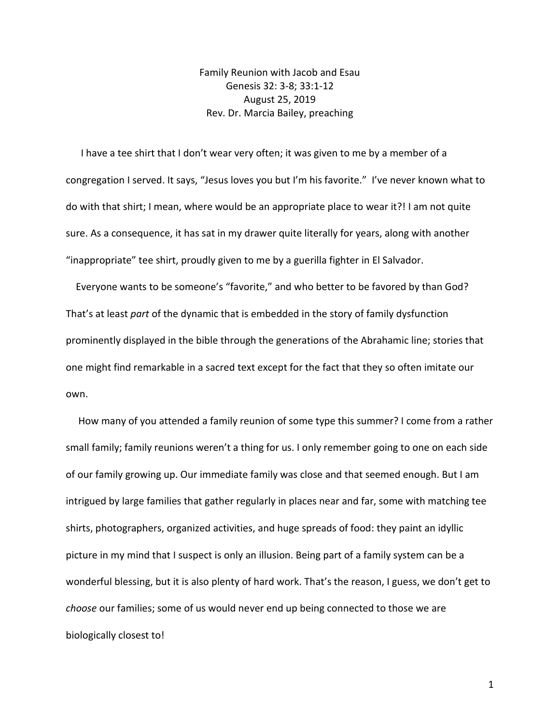Family Reunion with Jacob and Esau Genesis 32: 3-8; 33:1-12 August 25, 2019 Rev. Dr. Marcia Bailey, preaching

I have a tee shirt that I don't wear very often; it was given to me by a member of a congregation I served. It says, "Jesus loves you but I'm his favorite." I've never known what to do with that shirt; I mean, where would be an appropriate place to wear it?! I am not quite sure. As a consequence, it has sat in my drawer quite literally for years, along with another "inappropriate" tee shirt, proudly given to me by a guerilla fighter in El Salvador.

 Everyone wants to be someone's "favorite," and who better to be favored by than God? That's at least *part* of the dynamic that is embedded in the story of family dysfunction prominently displayed in the bible through the generations of the Abrahamic line; stories that one might find remarkable in a sacred text except for the fact that they so often imitate our own.

 How many of you attended a family reunion of some type this summer? I come from a rather small family; family reunions weren't a thing for us. I only remember going to one on each side of our family growing up. Our immediate family was close and that seemed enough. But I am intrigued by large families that gather regularly in places near and far, some with matching tee shirts, photographers, organized activities, and huge spreads of food: they paint an idyllic picture in my mind that I suspect is only an illusion. Being part of a family system can be a wonderful blessing, but it is also plenty of hard work. That's the reason, I guess, we don't get to *choose* our families; some of us would never end up being connected to those we are biologically closest to!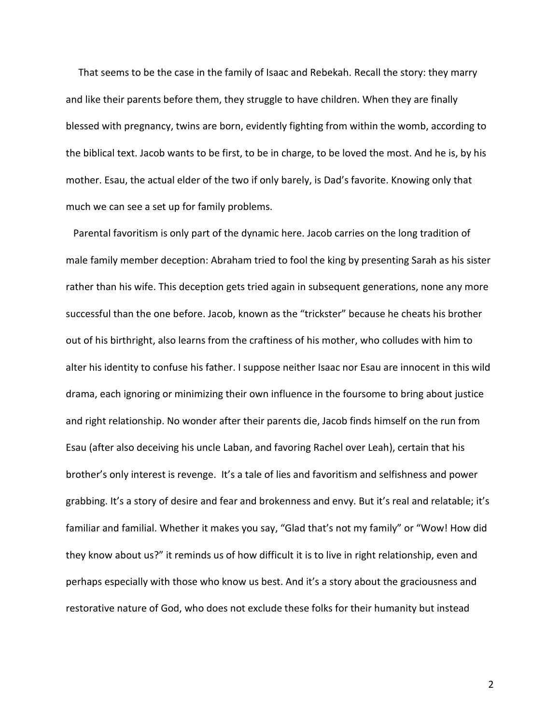That seems to be the case in the family of Isaac and Rebekah. Recall the story: they marry and like their parents before them, they struggle to have children. When they are finally blessed with pregnancy, twins are born, evidently fighting from within the womb, according to the biblical text. Jacob wants to be first, to be in charge, to be loved the most. And he is, by his mother. Esau, the actual elder of the two if only barely, is Dad's favorite. Knowing only that much we can see a set up for family problems.

 Parental favoritism is only part of the dynamic here. Jacob carries on the long tradition of male family member deception: Abraham tried to fool the king by presenting Sarah as his sister rather than his wife. This deception gets tried again in subsequent generations, none any more successful than the one before. Jacob, known as the "trickster" because he cheats his brother out of his birthright, also learns from the craftiness of his mother, who colludes with him to alter his identity to confuse his father. I suppose neither Isaac nor Esau are innocent in this wild drama, each ignoring or minimizing their own influence in the foursome to bring about justice and right relationship. No wonder after their parents die, Jacob finds himself on the run from Esau (after also deceiving his uncle Laban, and favoring Rachel over Leah), certain that his brother's only interest is revenge. It's a tale of lies and favoritism and selfishness and power grabbing. It's a story of desire and fear and brokenness and envy. But it's real and relatable; it's familiar and familial. Whether it makes you say, "Glad that's not my family" or "Wow! How did they know about us?" it reminds us of how difficult it is to live in right relationship, even and perhaps especially with those who know us best. And it's a story about the graciousness and restorative nature of God, who does not exclude these folks for their humanity but instead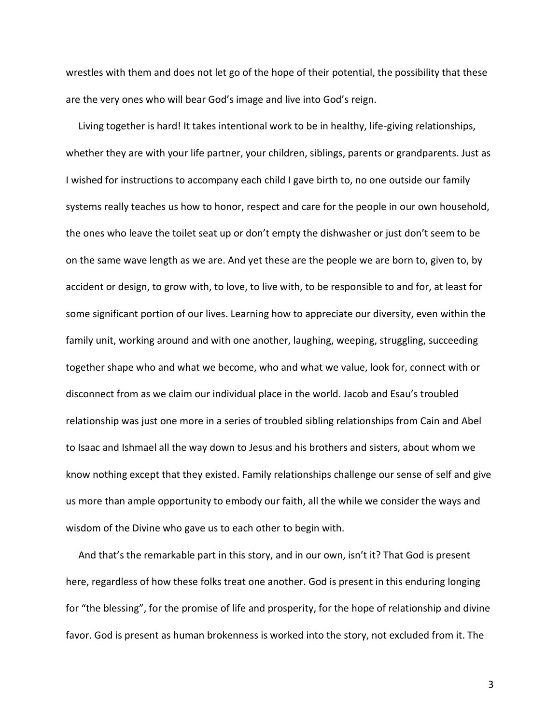wrestles with them and does not let go of the hope of their potential, the possibility that these are the very ones who will bear God's image and live into God's reign.

 Living together is hard! It takes intentional work to be in healthy, life-giving relationships, whether they are with your life partner, your children, siblings, parents or grandparents. Just as I wished for instructions to accompany each child I gave birth to, no one outside our family systems really teaches us how to honor, respect and care for the people in our own household, the ones who leave the toilet seat up or don't empty the dishwasher or just don't seem to be on the same wave length as we are. And yet these are the people we are born to, given to, by accident or design, to grow with, to love, to live with, to be responsible to and for, at least for some significant portion of our lives. Learning how to appreciate our diversity, even within the family unit, working around and with one another, laughing, weeping, struggling, succeeding together shape who and what we become, who and what we value, look for, connect with or disconnect from as we claim our individual place in the world. Jacob and Esau's troubled relationship was just one more in a series of troubled sibling relationships from Cain and Abel to Isaac and Ishmael all the way down to Jesus and his brothers and sisters, about whom we know nothing except that they existed. Family relationships challenge our sense of self and give us more than ample opportunity to embody our faith, all the while we consider the ways and wisdom of the Divine who gave us to each other to begin with.

 And that's the remarkable part in this story, and in our own, isn't it? That God is present here, regardless of how these folks treat one another. God is present in this enduring longing for "the blessing", for the promise of life and prosperity, for the hope of relationship and divine favor. God is present as human brokenness is worked into the story, not excluded from it. The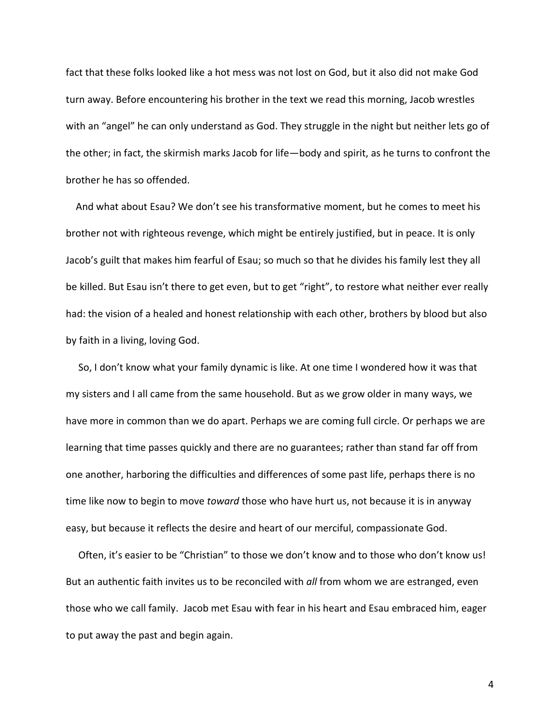fact that these folks looked like a hot mess was not lost on God, but it also did not make God turn away. Before encountering his brother in the text we read this morning, Jacob wrestles with an "angel" he can only understand as God. They struggle in the night but neither lets go of the other; in fact, the skirmish marks Jacob for life—body and spirit, as he turns to confront the brother he has so offended.

 And what about Esau? We don't see his transformative moment, but he comes to meet his brother not with righteous revenge, which might be entirely justified, but in peace. It is only Jacob's guilt that makes him fearful of Esau; so much so that he divides his family lest they all be killed. But Esau isn't there to get even, but to get "right", to restore what neither ever really had: the vision of a healed and honest relationship with each other, brothers by blood but also by faith in a living, loving God.

 So, I don't know what your family dynamic is like. At one time I wondered how it was that my sisters and I all came from the same household. But as we grow older in many ways, we have more in common than we do apart. Perhaps we are coming full circle. Or perhaps we are learning that time passes quickly and there are no guarantees; rather than stand far off from one another, harboring the difficulties and differences of some past life, perhaps there is no time like now to begin to move *toward* those who have hurt us, not because it is in anyway easy, but because it reflects the desire and heart of our merciful, compassionate God.

 Often, it's easier to be "Christian" to those we don't know and to those who don't know us! But an authentic faith invites us to be reconciled with *all* from whom we are estranged, even those who we call family. Jacob met Esau with fear in his heart and Esau embraced him, eager to put away the past and begin again.